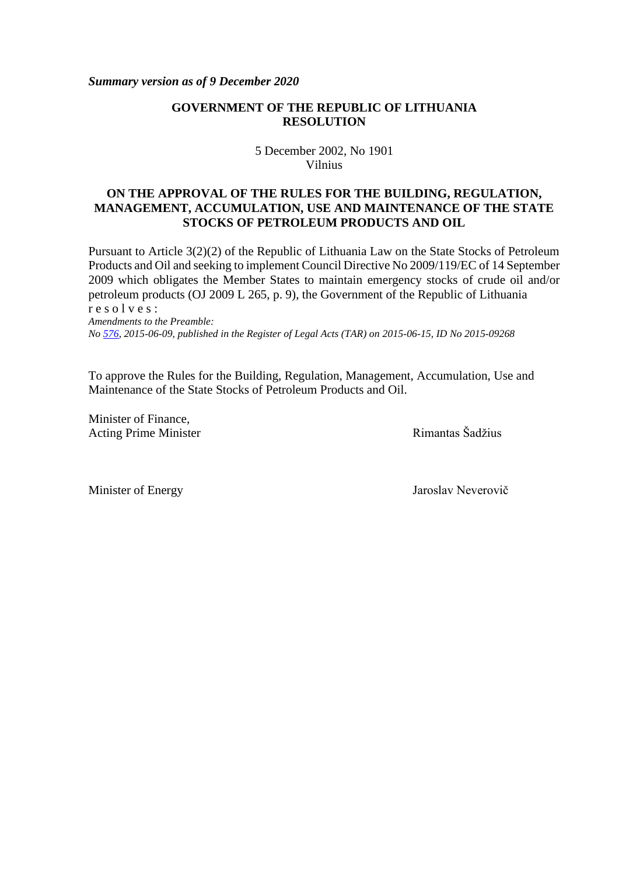*Summary version as of 9 December 2020*

### **GOVERNMENT OF THE REPUBLIC OF LITHUANIA RESOLUTION**

5 December 2002, No 1901 Vilnius

### **ON THE APPROVAL OF THE RULES FOR THE BUILDING, REGULATION, MANAGEMENT, ACCUMULATION, USE AND MAINTENANCE OF THE STATE STOCKS OF PETROLEUM PRODUCTS AND OIL**

Pursuant to Article 3(2)(2) of the Republic of Lithuania Law on the State Stocks of Petroleum Products and Oil and seeking to implement Council Directive No 2009/119/EC of 14 September 2009 which obligates the Member States to maintain emergency stocks of crude oil and/or petroleum products (OJ 2009 L 265, p. 9), the Government of the Republic of Lithuania r e s o l v e s :

*Amendments to the Preamble: No [576,](about:blank) 2015-06-09, published in the Register of Legal Acts (TAR) on 2015-06-15, ID No 2015-09268*

To approve the Rules for the Building, Regulation, Management, Accumulation, Use and Maintenance of the State Stocks of Petroleum Products and Oil.

Minister of Finance, Acting Prime Minister **Rimantas** Šadžius

Minister of Energy Jaroslav Neverovič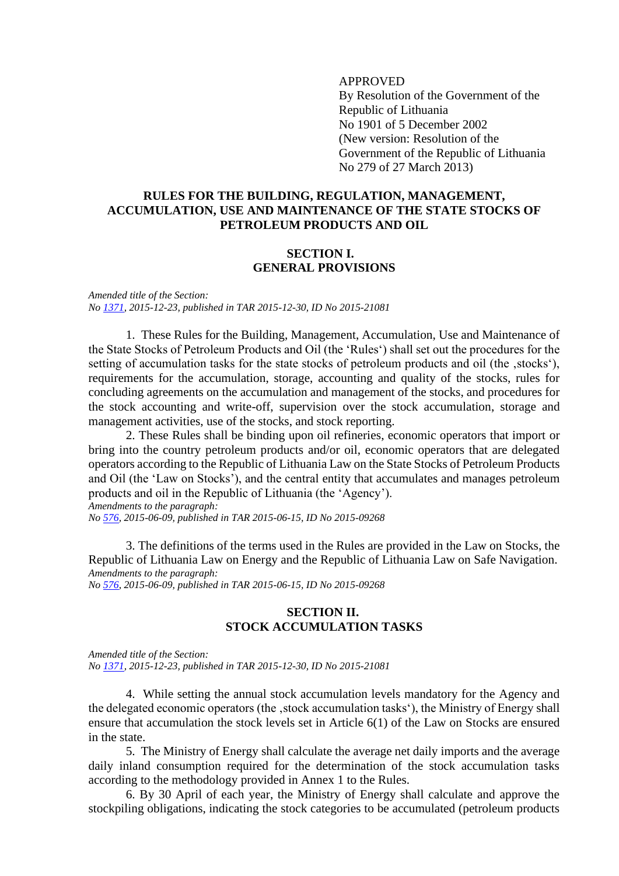### APPROVED

By Resolution of the Government of the Republic of Lithuania No 1901 of 5 December 2002 (New version: Resolution of the Government of the Republic of Lithuania No 279 of 27 March 2013)

### **RULES FOR THE BUILDING, REGULATION, MANAGEMENT, ACCUMULATION, USE AND MAINTENANCE OF THE STATE STOCKS OF PETROLEUM PRODUCTS AND OIL**

### **SECTION I. GENERAL PROVISIONS**

*Amended title of the Section: No [1371,](about:blank) 2015-12-23, published in TAR 2015-12-30, ID No 2015-21081*

1. These Rules for the Building, Management, Accumulation, Use and Maintenance of the State Stocks of Petroleum Products and Oil (the 'Rules') shall set out the procedures for the setting of accumulation tasks for the state stocks of petroleum products and oil (the ,stocks'), requirements for the accumulation, storage, accounting and quality of the stocks, rules for concluding agreements on the accumulation and management of the stocks, and procedures for the stock accounting and write-off, supervision over the stock accumulation, storage and management activities, use of the stocks, and stock reporting.

2. These Rules shall be binding upon oil refineries, economic operators that import or bring into the country petroleum products and/or oil, economic operators that are delegated operators according to the Republic of Lithuania Law on the State Stocks of Petroleum Products and Oil (the 'Law on Stocks'), and the central entity that accumulates and manages petroleum products and oil in the Republic of Lithuania (the 'Agency'). *Amendments to the paragraph:*

*No [576,](about:blank) 2015-06-09, published in TAR 2015-06-15, ID No 2015-09268*

3. The definitions of the terms used in the Rules are provided in the Law on Stocks, the Republic of Lithuania Law on Energy and the Republic of Lithuania Law on Safe Navigation. *Amendments to the paragraph: No [576,](about:blank) 2015-06-09, published in TAR 2015-06-15, ID No 2015-09268*

# **SECTION II.**

#### **STOCK ACCUMULATION TASKS**

*Amended title of the Section: No [1371,](about:blank) 2015-12-23, published in TAR 2015-12-30, ID No 2015-21081*

4. While setting the annual stock accumulation levels mandatory for the Agency and the delegated economic operators (the , stock accumulation tasks'), the Ministry of Energy shall ensure that accumulation the stock levels set in Article 6(1) of the Law on Stocks are ensured in the state.

5. The Ministry of Energy shall calculate the average net daily imports and the average daily inland consumption required for the determination of the stock accumulation tasks according to the methodology provided in Annex 1 to the Rules.

6. By 30 April of each year, the Ministry of Energy shall calculate and approve the stockpiling obligations, indicating the stock categories to be accumulated (petroleum products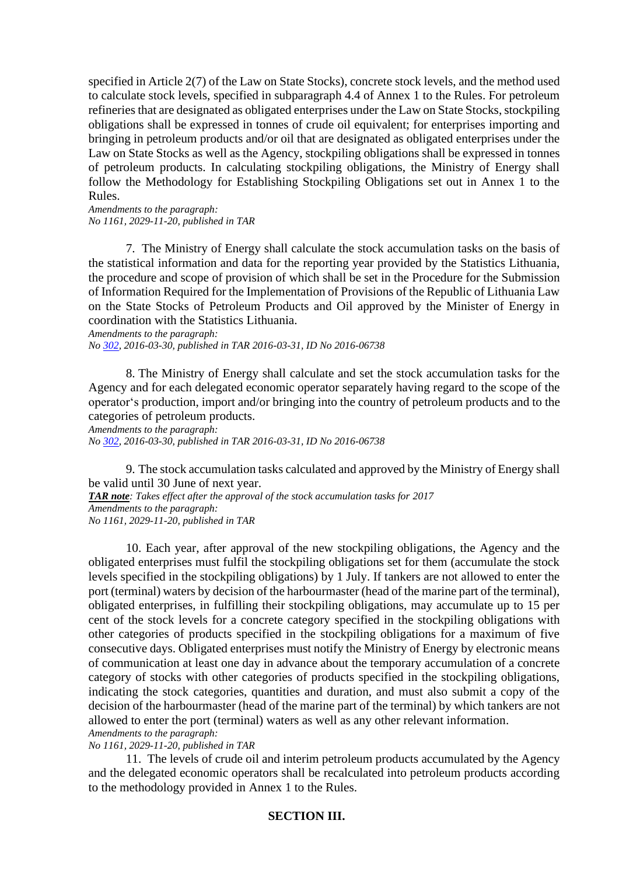specified in Article 2(7) of the Law on State Stocks), concrete stock levels, and the method used to calculate stock levels, specified in subparagraph 4.4 of Annex 1 to the Rules. For petroleum refineries that are designated as obligated enterprises under the Law on State Stocks, stockpiling obligations shall be expressed in tonnes of crude oil equivalent; for enterprises importing and bringing in petroleum products and/or oil that are designated as obligated enterprises under the Law on State Stocks as well as the Agency, stockpiling obligations shall be expressed in tonnes of petroleum products. In calculating stockpiling obligations, the Ministry of Energy shall follow the Methodology for Establishing Stockpiling Obligations set out in Annex 1 to the Rules.

*Amendments to the paragraph: No 1161, 2029-11-20, published in TAR* 

7. The Ministry of Energy shall calculate the stock accumulation tasks on the basis of the statistical information and data for the reporting year provided by the Statistics Lithuania, the procedure and scope of provision of which shall be set in the Procedure for the Submission of Information Required for the Implementation of Provisions of the Republic of Lithuania Law on the State Stocks of Petroleum Products and Oil approved by the Minister of Energy in coordination with the Statistics Lithuania.

*Amendments to the paragraph: No [302,](about:blank) 2016-03-30, published in TAR 2016-03-31, ID No 2016-06738*

8. The Ministry of Energy shall calculate and set the stock accumulation tasks for the Agency and for each delegated economic operator separately having regard to the scope of the operator's production, import and/or bringing into the country of petroleum products and to the categories of petroleum products.

*Amendments to the paragraph:*

*No [302,](about:blank) 2016-03-30, published in TAR 2016-03-31, ID No 2016-06738*

9. The stock accumulation tasks calculated and approved by the Ministry of Energy shall be valid until 30 June of next year.

*TAR note: Takes effect after the approval of the stock accumulation tasks for 2017 Amendments to the paragraph: No 1161, 2029-11-20, published in TAR* 

10. Each year, after approval of the new stockpiling obligations, the Agency and the obligated enterprises must fulfil the stockpiling obligations set for them (accumulate the stock levels specified in the stockpiling obligations) by 1 July. If tankers are not allowed to enter the port (terminal) waters by decision of the harbourmaster (head of the marine part of the terminal), obligated enterprises, in fulfilling their stockpiling obligations, may accumulate up to 15 per cent of the stock levels for a concrete category specified in the stockpiling obligations with other categories of products specified in the stockpiling obligations for a maximum of five consecutive days. Obligated enterprises must notify the Ministry of Energy by electronic means of communication at least one day in advance about the temporary accumulation of a concrete category of stocks with other categories of products specified in the stockpiling obligations, indicating the stock categories, quantities and duration, and must also submit a copy of the decision of the harbourmaster (head of the marine part of the terminal) by which tankers are not allowed to enter the port (terminal) waters as well as any other relevant information.

*Amendments to the paragraph:*

*No 1161, 2029-11-20, published in TAR*

11. The levels of crude oil and interim petroleum products accumulated by the Agency and the delegated economic operators shall be recalculated into petroleum products according to the methodology provided in Annex 1 to the Rules.

### **SECTION III.**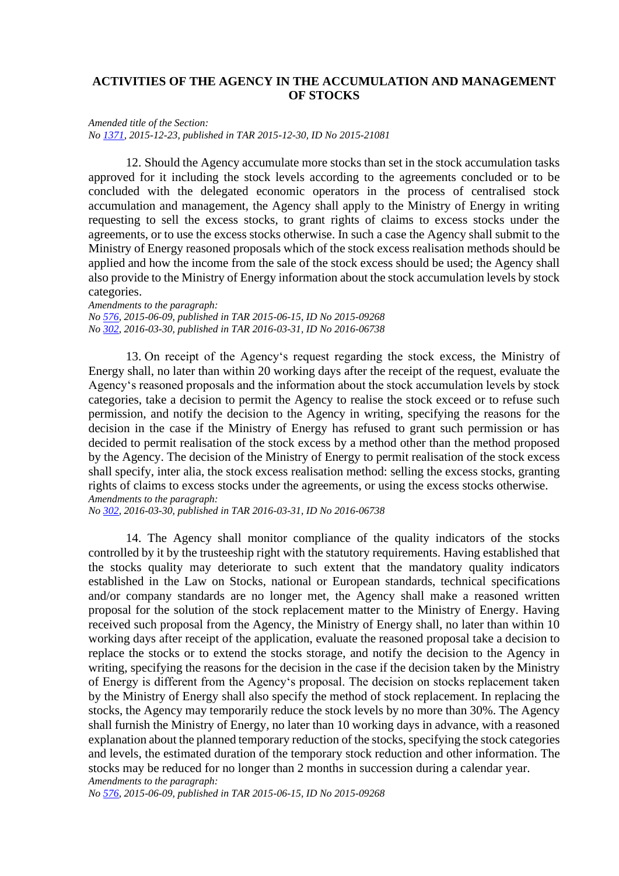## **ACTIVITIES OF THE AGENCY IN THE ACCUMULATION AND MANAGEMENT OF STOCKS**

*Amended title of the Section: No [1371,](about:blank) 2015-12-23, published in TAR 2015-12-30, ID No 2015-21081*

12. Should the Agency accumulate more stocks than set in the stock accumulation tasks approved for it including the stock levels according to the agreements concluded or to be concluded with the delegated economic operators in the process of centralised stock accumulation and management, the Agency shall apply to the Ministry of Energy in writing requesting to sell the excess stocks, to grant rights of claims to excess stocks under the agreements, or to use the excess stocks otherwise. In such a case the Agency shall submit to the Ministry of Energy reasoned proposals which of the stock excess realisation methods should be applied and how the income from the sale of the stock excess should be used; the Agency shall also provide to the Ministry of Energy information about the stock accumulation levels by stock categories.

*Amendments to the paragraph: No [576,](about:blank) 2015-06-09, published in TAR 2015-06-15, ID No 2015-09268 No [302,](about:blank) 2016-03-30, published in TAR 2016-03-31, ID No 2016-06738*

13. On receipt of the Agency's request regarding the stock excess, the Ministry of Energy shall, no later than within 20 working days after the receipt of the request, evaluate the Agency's reasoned proposals and the information about the stock accumulation levels by stock categories, take a decision to permit the Agency to realise the stock exceed or to refuse such permission, and notify the decision to the Agency in writing, specifying the reasons for the decision in the case if the Ministry of Energy has refused to grant such permission or has decided to permit realisation of the stock excess by a method other than the method proposed by the Agency. The decision of the Ministry of Energy to permit realisation of the stock excess shall specify, inter alia, the stock excess realisation method: selling the excess stocks, granting rights of claims to excess stocks under the agreements, or using the excess stocks otherwise. *Amendments to the paragraph:*

*No [302,](about:blank) 2016-03-30, published in TAR 2016-03-31, ID No 2016-06738*

14. The Agency shall monitor compliance of the quality indicators of the stocks controlled by it by the trusteeship right with the statutory requirements. Having established that the stocks quality may deteriorate to such extent that the mandatory quality indicators established in the Law on Stocks, national or European standards, technical specifications and/or company standards are no longer met, the Agency shall make a reasoned written proposal for the solution of the stock replacement matter to the Ministry of Energy. Having received such proposal from the Agency, the Ministry of Energy shall, no later than within 10 working days after receipt of the application, evaluate the reasoned proposal take a decision to replace the stocks or to extend the stocks storage, and notify the decision to the Agency in writing, specifying the reasons for the decision in the case if the decision taken by the Ministry of Energy is different from the Agency's proposal. The decision on stocks replacement taken by the Ministry of Energy shall also specify the method of stock replacement. In replacing the stocks, the Agency may temporarily reduce the stock levels by no more than 30%. The Agency shall furnish the Ministry of Energy, no later than 10 working days in advance, with a reasoned explanation about the planned temporary reduction of the stocks, specifying the stock categories and levels, the estimated duration of the temporary stock reduction and other information. The stocks may be reduced for no longer than 2 months in succession during a calendar year. *Amendments to the paragraph:*

*No [576,](about:blank) 2015-06-09, published in TAR 2015-06-15, ID No 2015-09268*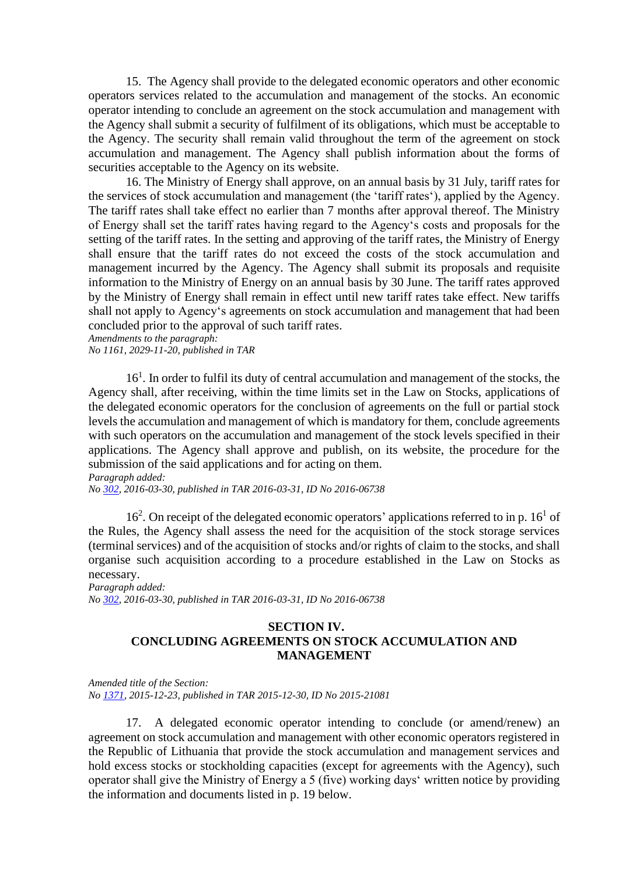15. The Agency shall provide to the delegated economic operators and other economic operators services related to the accumulation and management of the stocks. An economic operator intending to conclude an agreement on the stock accumulation and management with the Agency shall submit a security of fulfilment of its obligations, which must be acceptable to the Agency. The security shall remain valid throughout the term of the agreement on stock accumulation and management. The Agency shall publish information about the forms of securities acceptable to the Agency on its website.

16. The Ministry of Energy shall approve, on an annual basis by 31 July, tariff rates for the services of stock accumulation and management (the 'tariff rates'), applied by the Agency. The tariff rates shall take effect no earlier than 7 months after approval thereof. The Ministry of Energy shall set the tariff rates having regard to the Agency's costs and proposals for the setting of the tariff rates. In the setting and approving of the tariff rates, the Ministry of Energy shall ensure that the tariff rates do not exceed the costs of the stock accumulation and management incurred by the Agency. The Agency shall submit its proposals and requisite information to the Ministry of Energy on an annual basis by 30 June. The tariff rates approved by the Ministry of Energy shall remain in effect until new tariff rates take effect. New tariffs shall not apply to Agency's agreements on stock accumulation and management that had been concluded prior to the approval of such tariff rates.

*Amendments to the paragraph: No 1161, 2029-11-20, published in TAR*

16<sup>1</sup>. In order to fulfil its duty of central accumulation and management of the stocks, the Agency shall, after receiving, within the time limits set in the Law on Stocks, applications of the delegated economic operators for the conclusion of agreements on the full or partial stock levels the accumulation and management of which is mandatory for them, conclude agreements with such operators on the accumulation and management of the stock levels specified in their applications. The Agency shall approve and publish, on its website, the procedure for the submission of the said applications and for acting on them.

*Paragraph added: No [302,](about:blank) 2016-03-30, published in TAR 2016-03-31, ID No 2016-06738*

 $16<sup>2</sup>$ . On receipt of the delegated economic operators' applications referred to in p.  $16<sup>1</sup>$  of the Rules, the Agency shall assess the need for the acquisition of the stock storage services (terminal services) and of the acquisition of stocks and/or rights of claim to the stocks, and shall organise such acquisition according to a procedure established in the Law on Stocks as necessary.

*Paragraph added: No [302,](about:blank) 2016-03-30, published in TAR 2016-03-31, ID No 2016-06738*

## **SECTION IV. CONCLUDING AGREEMENTS ON STOCK ACCUMULATION AND MANAGEMENT**

*Amended title of the Section: No [1371,](about:blank) 2015-12-23, published in TAR 2015-12-30, ID No 2015-21081*

17. A delegated economic operator intending to conclude (or amend/renew) an agreement on stock accumulation and management with other economic operators registered in the Republic of Lithuania that provide the stock accumulation and management services and hold excess stocks or stockholding capacities (except for agreements with the Agency), such operator shall give the Ministry of Energy a 5 (five) working days' written notice by providing the information and documents listed in p. 19 below.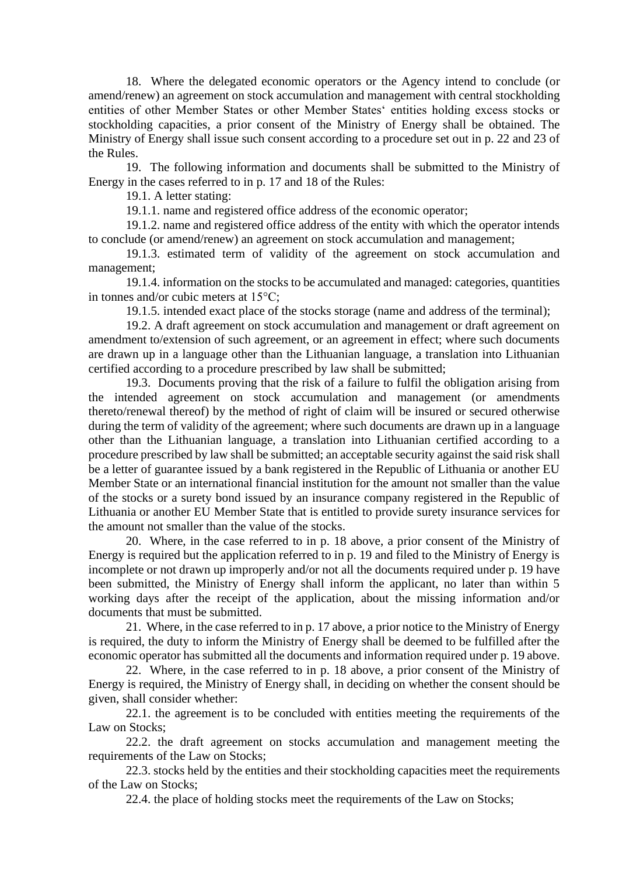18. Where the delegated economic operators or the Agency intend to conclude (or amend/renew) an agreement on stock accumulation and management with central stockholding entities of other Member States or other Member States' entities holding excess stocks or stockholding capacities, a prior consent of the Ministry of Energy shall be obtained. The Ministry of Energy shall issue such consent according to a procedure set out in p. 22 and 23 of the Rules.

19. The following information and documents shall be submitted to the Ministry of Energy in the cases referred to in p. 17 and 18 of the Rules:

19.1. A letter stating:

19.1.1. name and registered office address of the economic operator;

19.1.2. name and registered office address of the entity with which the operator intends to conclude (or amend/renew) an agreement on stock accumulation and management;

19.1.3. estimated term of validity of the agreement on stock accumulation and management;

19.1.4. information on the stocks to be accumulated and managed: categories, quantities in tonnes and/or cubic meters at 15°C;

19.1.5. intended exact place of the stocks storage (name and address of the terminal);

19.2. A draft agreement on stock accumulation and management or draft agreement on amendment to/extension of such agreement, or an agreement in effect; where such documents are drawn up in a language other than the Lithuanian language, a translation into Lithuanian certified according to a procedure prescribed by law shall be submitted;

19.3. Documents proving that the risk of a failure to fulfil the obligation arising from the intended agreement on stock accumulation and management (or amendments thereto/renewal thereof) by the method of right of claim will be insured or secured otherwise during the term of validity of the agreement; where such documents are drawn up in a language other than the Lithuanian language, a translation into Lithuanian certified according to a procedure prescribed by law shall be submitted; an acceptable security against the said risk shall be a letter of guarantee issued by a bank registered in the Republic of Lithuania or another EU Member State or an international financial institution for the amount not smaller than the value of the stocks or a surety bond issued by an insurance company registered in the Republic of Lithuania or another EU Member State that is entitled to provide surety insurance services for the amount not smaller than the value of the stocks.

20. Where, in the case referred to in p. 18 above, a prior consent of the Ministry of Energy is required but the application referred to in p. 19 and filed to the Ministry of Energy is incomplete or not drawn up improperly and/or not all the documents required under p. 19 have been submitted, the Ministry of Energy shall inform the applicant, no later than within 5 working days after the receipt of the application, about the missing information and/or documents that must be submitted.

21. Where, in the case referred to in p. 17 above, a prior notice to the Ministry of Energy is required, the duty to inform the Ministry of Energy shall be deemed to be fulfilled after the economic operator has submitted all the documents and information required under p. 19 above.

22. Where, in the case referred to in p. 18 above, a prior consent of the Ministry of Energy is required, the Ministry of Energy shall, in deciding on whether the consent should be given, shall consider whether:

22.1. the agreement is to be concluded with entities meeting the requirements of the Law on Stocks:

22.2. the draft agreement on stocks accumulation and management meeting the requirements of the Law on Stocks;

22.3. stocks held by the entities and their stockholding capacities meet the requirements of the Law on Stocks;

22.4. the place of holding stocks meet the requirements of the Law on Stocks;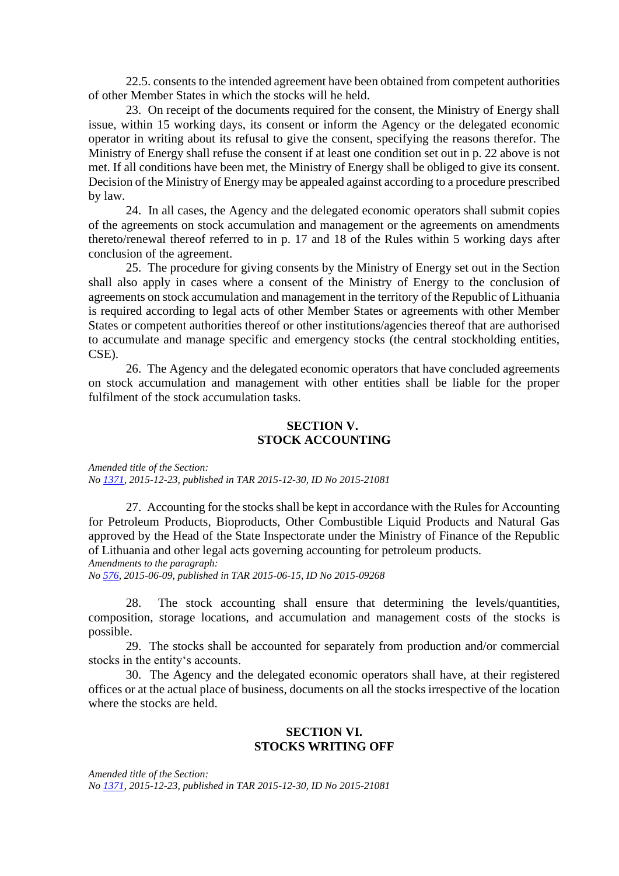22.5. consents to the intended agreement have been obtained from competent authorities of other Member States in which the stocks will he held.

23. On receipt of the documents required for the consent, the Ministry of Energy shall issue, within 15 working days, its consent or inform the Agency or the delegated economic operator in writing about its refusal to give the consent, specifying the reasons therefor. The Ministry of Energy shall refuse the consent if at least one condition set out in p. 22 above is not met. If all conditions have been met, the Ministry of Energy shall be obliged to give its consent. Decision of the Ministry of Energy may be appealed against according to a procedure prescribed by law.

24. In all cases, the Agency and the delegated economic operators shall submit copies of the agreements on stock accumulation and management or the agreements on amendments thereto/renewal thereof referred to in p. 17 and 18 of the Rules within 5 working days after conclusion of the agreement.

25. The procedure for giving consents by the Ministry of Energy set out in the Section shall also apply in cases where a consent of the Ministry of Energy to the conclusion of agreements on stock accumulation and management in the territory of the Republic of Lithuania is required according to legal acts of other Member States or agreements with other Member States or competent authorities thereof or other institutions/agencies thereof that are authorised to accumulate and manage specific and emergency stocks (the central stockholding entities, CSE).

26. The Agency and the delegated economic operators that have concluded agreements on stock accumulation and management with other entities shall be liable for the proper fulfilment of the stock accumulation tasks.

### **SECTION V. STOCK ACCOUNTING**

*Amended title of the Section: No [1371,](about:blank) 2015-12-23, published in TAR 2015-12-30, ID No 2015-21081*

27. Accounting for the stocks shall be kept in accordance with the Rules for Accounting for Petroleum Products, Bioproducts, Other Combustible Liquid Products and Natural Gas approved by the Head of the State Inspectorate under the Ministry of Finance of the Republic of Lithuania and other legal acts governing accounting for petroleum products. *Amendments to the paragraph:*

*No [576,](about:blank) 2015-06-09, published in TAR 2015-06-15, ID No 2015-09268*

28. The stock accounting shall ensure that determining the levels/quantities, composition, storage locations, and accumulation and management costs of the stocks is possible.

29. The stocks shall be accounted for separately from production and/or commercial stocks in the entity's accounts.

30. The Agency and the delegated economic operators shall have, at their registered offices or at the actual place of business, documents on all the stocks irrespective of the location where the stocks are held.

### **SECTION VI. STOCKS WRITING OFF**

*Amended title of the Section: No [1371,](about:blank) 2015-12-23, published in TAR 2015-12-30, ID No 2015-21081*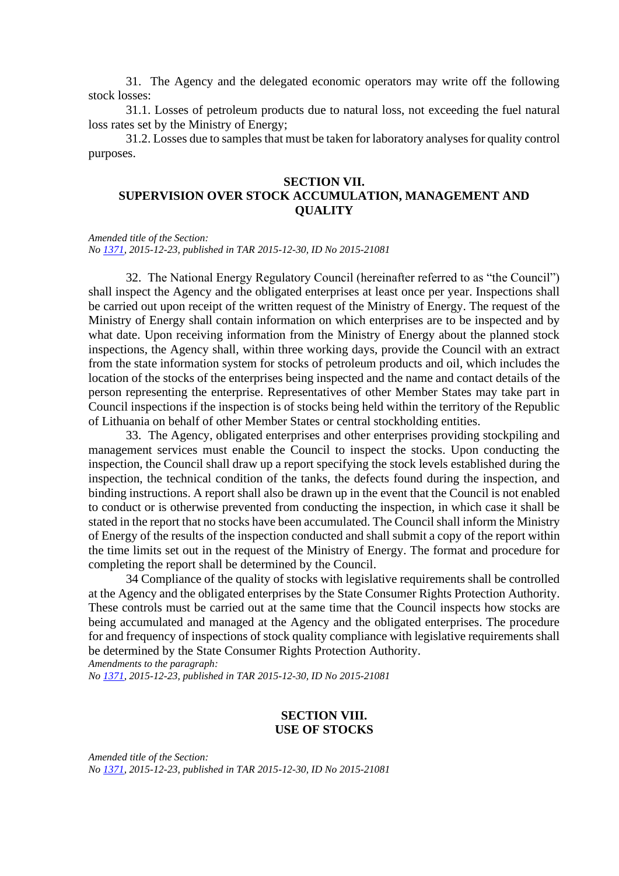31. The Agency and the delegated economic operators may write off the following stock losses:

31.1. Losses of petroleum products due to natural loss, not exceeding the fuel natural loss rates set by the Ministry of Energy;

31.2. Losses due to samples that must be taken for laboratory analyses for quality control purposes.

### **SECTION VII. SUPERVISION OVER STOCK ACCUMULATION, MANAGEMENT AND QUALITY**

*Amended title of the Section: No [1371,](about:blank) 2015-12-23, published in TAR 2015-12-30, ID No 2015-21081*

32. The National Energy Regulatory Council (hereinafter referred to as "the Council") shall inspect the Agency and the obligated enterprises at least once per year. Inspections shall be carried out upon receipt of the written request of the Ministry of Energy. The request of the Ministry of Energy shall contain information on which enterprises are to be inspected and by what date. Upon receiving information from the Ministry of Energy about the planned stock inspections, the Agency shall, within three working days, provide the Council with an extract from the state information system for stocks of petroleum products and oil, which includes the location of the stocks of the enterprises being inspected and the name and contact details of the person representing the enterprise. Representatives of other Member States may take part in Council inspections if the inspection is of stocks being held within the territory of the Republic of Lithuania on behalf of other Member States or central stockholding entities.

33. The Agency, obligated enterprises and other enterprises providing stockpiling and management services must enable the Council to inspect the stocks. Upon conducting the inspection, the Council shall draw up a report specifying the stock levels established during the inspection, the technical condition of the tanks, the defects found during the inspection, and binding instructions. A report shall also be drawn up in the event that the Council is not enabled to conduct or is otherwise prevented from conducting the inspection, in which case it shall be stated in the report that no stocks have been accumulated. The Council shall inform the Ministry of Energy of the results of the inspection conducted and shall submit a copy of the report within the time limits set out in the request of the Ministry of Energy. The format and procedure for completing the report shall be determined by the Council.

34 Compliance of the quality of stocks with legislative requirements shall be controlled at the Agency and the obligated enterprises by the State Consumer Rights Protection Authority. These controls must be carried out at the same time that the Council inspects how stocks are being accumulated and managed at the Agency and the obligated enterprises. The procedure for and frequency of inspections of stock quality compliance with legislative requirements shall be determined by the State Consumer Rights Protection Authority.

*Amendments to the paragraph:*

*No [1371,](about:blank) 2015-12-23, published in TAR 2015-12-30, ID No 2015-21081*

### **SECTION VIII. USE OF STOCKS**

*Amended title of the Section: No [1371,](about:blank) 2015-12-23, published in TAR 2015-12-30, ID No 2015-21081*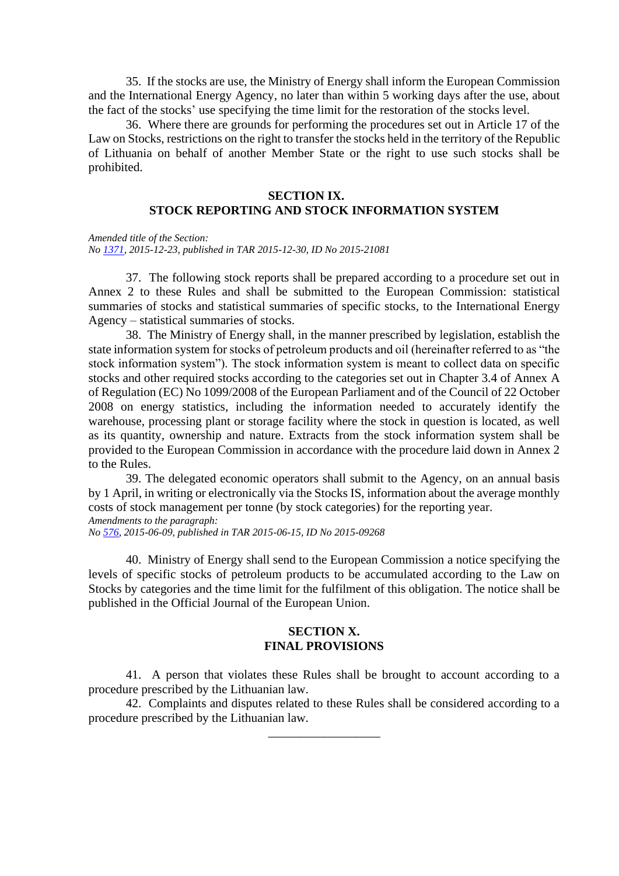35. If the stocks are use, the Ministry of Energy shall inform the European Commission and the International Energy Agency, no later than within 5 working days after the use, about the fact of the stocks' use specifying the time limit for the restoration of the stocks level.

36. Where there are grounds for performing the procedures set out in Article 17 of the Law on Stocks, restrictions on the right to transfer the stocks held in the territory of the Republic of Lithuania on behalf of another Member State or the right to use such stocks shall be prohibited.

### **SECTION IX.**

# **STOCK REPORTING AND STOCK INFORMATION SYSTEM**

*Amended title of the Section: No [1371,](about:blank) 2015-12-23, published in TAR 2015-12-30, ID No 2015-21081*

37. The following stock reports shall be prepared according to a procedure set out in Annex 2 to these Rules and shall be submitted to the European Commission: statistical summaries of stocks and statistical summaries of specific stocks, to the International Energy Agency – statistical summaries of stocks.

38. The Ministry of Energy shall, in the manner prescribed by legislation, establish the state information system for stocks of petroleum products and oil (hereinafter referred to as "the stock information system"). The stock information system is meant to collect data on specific stocks and other required stocks according to the categories set out in Chapter 3.4 of Annex A of Regulation (EC) No 1099/2008 of the European Parliament and of the Council of 22 October 2008 on energy statistics, including the information needed to accurately identify the warehouse, processing plant or storage facility where the stock in question is located, as well as its quantity, ownership and nature. Extracts from the stock information system shall be provided to the European Commission in accordance with the procedure laid down in Annex 2 to the Rules.

39. The delegated economic operators shall submit to the Agency, on an annual basis by 1 April, in writing or electronically via the Stocks IS, information about the average monthly costs of stock management per tonne (by stock categories) for the reporting year. *Amendments to the paragraph: No [576,](about:blank) 2015-06-09, published in TAR 2015-06-15, ID No 2015-09268*

40. Ministry of Energy shall send to the European Commission a notice specifying the

levels of specific stocks of petroleum products to be accumulated according to the Law on Stocks by categories and the time limit for the fulfilment of this obligation. The notice shall be published in the Official Journal of the European Union.

### **SECTION X. FINAL PROVISIONS**

41. A person that violates these Rules shall be brought to account according to a procedure prescribed by the Lithuanian law.

42. Complaints and disputes related to these Rules shall be considered according to a procedure prescribed by the Lithuanian law.

\_\_\_\_\_\_\_\_\_\_\_\_\_\_\_\_\_\_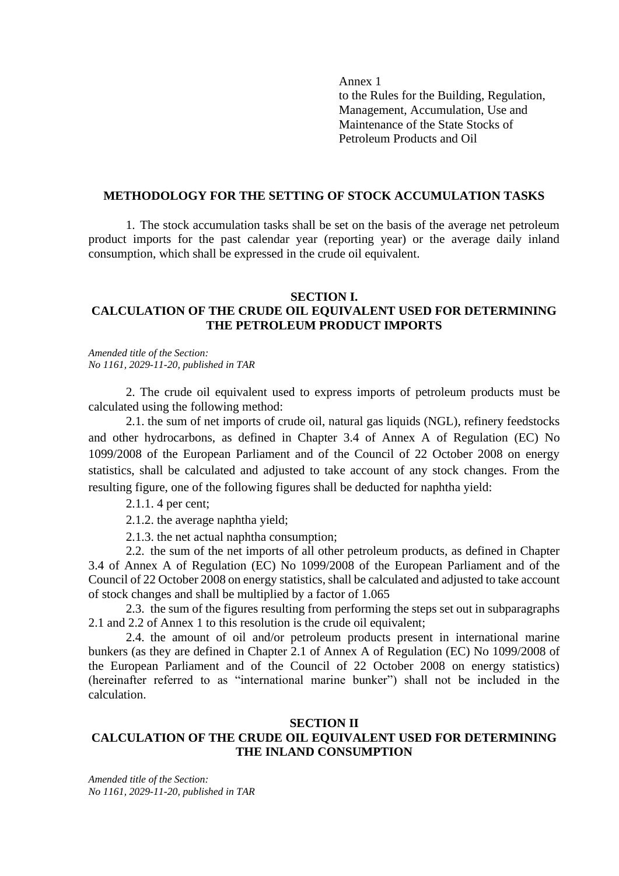Annex 1 to the Rules for the Building, Regulation, Management, Accumulation, Use and Maintenance of the State Stocks of Petroleum Products and Oil

#### **METHODOLOGY FOR THE SETTING OF STOCK ACCUMULATION TASKS**

1. The stock accumulation tasks shall be set on the basis of the average net petroleum product imports for the past calendar year (reporting year) or the average daily inland consumption, which shall be expressed in the crude oil equivalent.

#### **SECTION I. CALCULATION OF THE CRUDE OIL EQUIVALENT USED FOR DETERMINING THE PETROLEUM PRODUCT IMPORTS**

*Amended title of the Section: No 1161, 2029-11-20, published in TAR*

2. The crude oil equivalent used to express imports of petroleum products must be calculated using the following method:

2.1. the sum of net imports of crude oil, natural gas liquids (NGL), refinery feedstocks and other hydrocarbons, as defined in Chapter 3.4 of Annex A of Regulation (EC) No 1099/2008 of the European Parliament and of the Council of 22 October 2008 on energy statistics, shall be calculated and adjusted to take account of any stock changes. From the resulting figure, one of the following figures shall be deducted for naphtha yield:

2.1.1. 4 per cent;

2.1.2. the average naphtha yield;

2.1.3. the net actual naphtha consumption;

2.2. the sum of the net imports of all other petroleum products, as defined in Chapter 3.4 of Annex A of Regulation (EC) No 1099/2008 of the European Parliament and of the Council of 22 October 2008 on energy statistics, shall be calculated and adjusted to take account of stock changes and shall be multiplied by a factor of 1.065

2.3. the sum of the figures resulting from performing the steps set out in subparagraphs 2.1 and 2.2 of Annex 1 to this resolution is the crude oil equivalent;

2.4. the amount of oil and/or petroleum products present in international marine bunkers (as they are defined in Chapter 2.1 of Annex A of Regulation (EC) No 1099/2008 of the European Parliament and of the Council of 22 October 2008 on energy statistics) (hereinafter referred to as "international marine bunker") shall not be included in the calculation.

### **SECTION II CALCULATION OF THE CRUDE OIL EQUIVALENT USED FOR DETERMINING THE INLAND CONSUMPTION**

*Amended title of the Section: No 1161, 2029-11-20, published in TAR*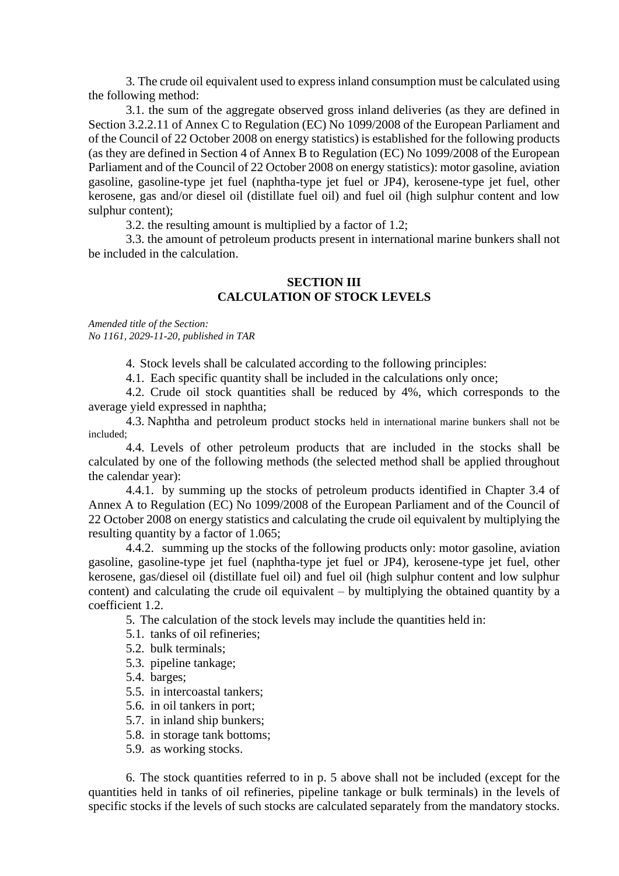3. The crude oil equivalent used to express inland consumption must be calculated using the following method:

3.1. the sum of the aggregate observed gross inland deliveries (as they are defined in Section 3.2.2.11 of Annex C to Regulation (EC) No 1099/2008 of the European Parliament and of the Council of 22 October 2008 on energy statistics) is established for the following products (as they are defined in Section 4 of Annex B to Regulation (EC) No 1099/2008 of the European Parliament and of the Council of 22 October 2008 on energy statistics): motor gasoline, aviation gasoline, gasoline-type jet fuel (naphtha-type jet fuel or JP4), kerosene-type jet fuel, other kerosene, gas and/or diesel oil (distillate fuel oil) and fuel oil (high sulphur content and low sulphur content);

3.2. the resulting amount is multiplied by a factor of 1.2;

3.3. the amount of petroleum products present in international marine bunkers shall not be included in the calculation.

## **SECTION III CALCULATION OF STOCK LEVELS**

*Amended title of the Section: No 1161, 2029-11-20, published in TAR*

4. Stock levels shall be calculated according to the following principles:

4.1. Each specific quantity shall be included in the calculations only once;

4.2. Crude oil stock quantities shall be reduced by 4%, which corresponds to the average yield expressed in naphtha;

4.3. Naphtha and petroleum product stocks held in international marine bunkers shall not be included;

4.4. Levels of other petroleum products that are included in the stocks shall be calculated by one of the following methods (the selected method shall be applied throughout the calendar year):

4.4.1. by summing up the stocks of petroleum products identified in Chapter 3.4 of Annex A to Regulation (EC) No 1099/2008 of the European Parliament and of the Council of 22 October 2008 on energy statistics and calculating the crude oil equivalent by multiplying the resulting quantity by a factor of 1.065;

4.4.2. summing up the stocks of the following products only: motor gasoline, aviation gasoline, gasoline-type jet fuel (naphtha-type jet fuel or JP4), kerosene-type jet fuel, other kerosene, gas/diesel oil (distillate fuel oil) and fuel oil (high sulphur content and low sulphur content) and calculating the crude oil equivalent – by multiplying the obtained quantity by a coefficient 1.2.

5. The calculation of the stock levels may include the quantities held in:

- 5.1. tanks of oil refineries;
- 5.2. bulk terminals;
- 5.3. pipeline tankage;
- 5.4. barges;
- 5.5. in intercoastal tankers;
- 5.6. in oil tankers in port;
- 5.7. in inland ship bunkers;
- 5.8. in storage tank bottoms;
- 5.9. as working stocks.

6. The stock quantities referred to in p. 5 above shall not be included (except for the quantities held in tanks of oil refineries, pipeline tankage or bulk terminals) in the levels of specific stocks if the levels of such stocks are calculated separately from the mandatory stocks.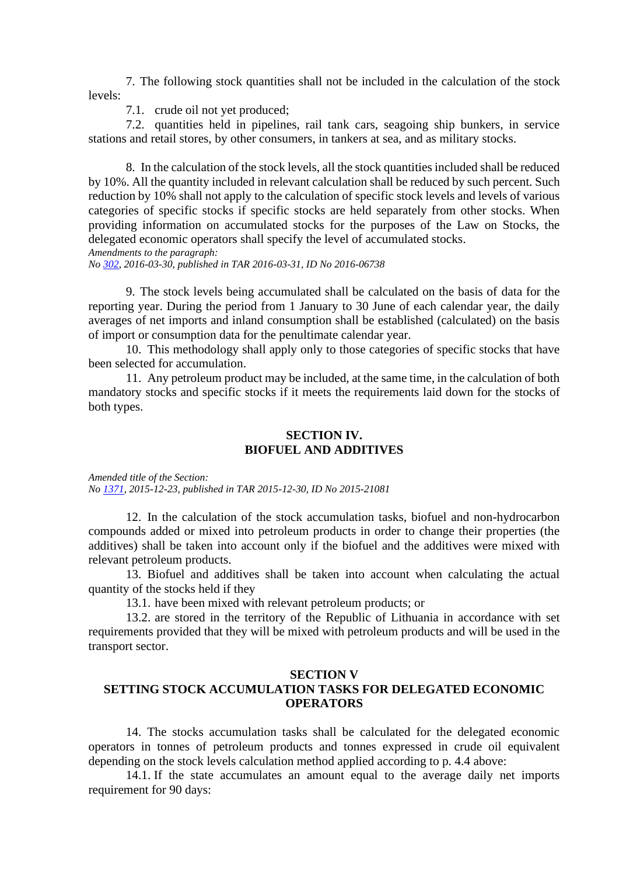7. The following stock quantities shall not be included in the calculation of the stock levels:

7.1. crude oil not yet produced;

7.2. quantities held in pipelines, rail tank cars, seagoing ship bunkers, in service stations and retail stores, by other consumers, in tankers at sea, and as military stocks.

8. In the calculation of the stock levels, all the stock quantities included shall be reduced by 10%. All the quantity included in relevant calculation shall be reduced by such percent. Such reduction by 10% shall not apply to the calculation of specific stock levels and levels of various categories of specific stocks if specific stocks are held separately from other stocks. When providing information on accumulated stocks for the purposes of the Law on Stocks, the delegated economic operators shall specify the level of accumulated stocks. *Amendments to the paragraph:*

*No [302,](about:blank) 2016-03-30, published in TAR 2016-03-31, ID No 2016-06738*

9. The stock levels being accumulated shall be calculated on the basis of data for the reporting year. During the period from 1 January to 30 June of each calendar year, the daily averages of net imports and inland consumption shall be established (calculated) on the basis of import or consumption data for the penultimate calendar year.

10. This methodology shall apply only to those categories of specific stocks that have been selected for accumulation.

11. Any petroleum product may be included, at the same time, in the calculation of both mandatory stocks and specific stocks if it meets the requirements laid down for the stocks of both types.

### **SECTION IV. BIOFUEL AND ADDITIVES**

*Amended title of the Section: No [1371,](about:blank) 2015-12-23, published in TAR 2015-12-30, ID No 2015-21081*

12. In the calculation of the stock accumulation tasks, biofuel and non-hydrocarbon compounds added or mixed into petroleum products in order to change their properties (the additives) shall be taken into account only if the biofuel and the additives were mixed with relevant petroleum products.

13. Biofuel and additives shall be taken into account when calculating the actual quantity of the stocks held if they

13.1. have been mixed with relevant petroleum products; or

13.2. are stored in the territory of the Republic of Lithuania in accordance with set requirements provided that they will be mixed with petroleum products and will be used in the transport sector.

#### **SECTION V**

## **SETTING STOCK ACCUMULATION TASKS FOR DELEGATED ECONOMIC OPERATORS**

14. The stocks accumulation tasks shall be calculated for the delegated economic operators in tonnes of petroleum products and tonnes expressed in crude oil equivalent depending on the stock levels calculation method applied according to p. 4.4 above:

14.1. If the state accumulates an amount equal to the average daily net imports requirement for 90 days: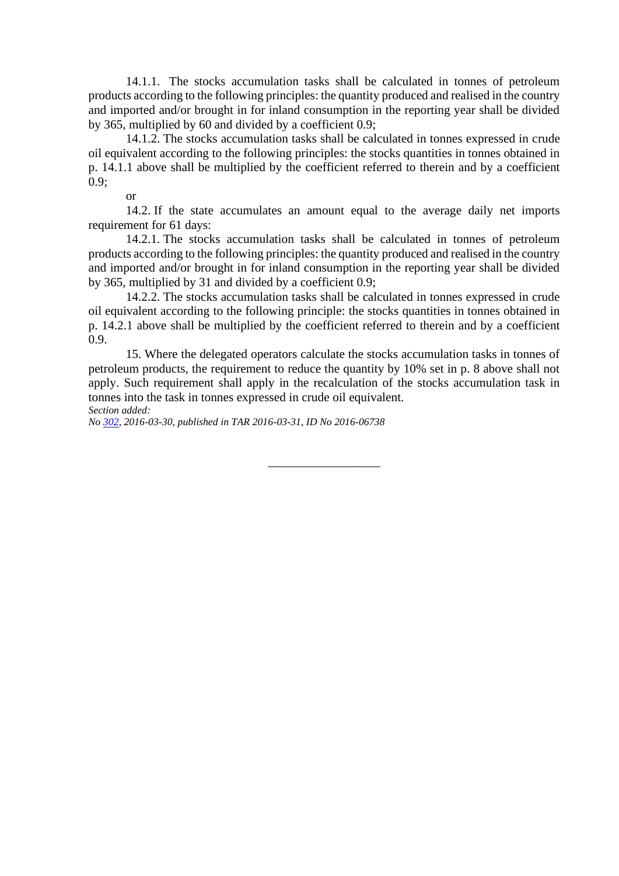14.1.1. The stocks accumulation tasks shall be calculated in tonnes of petroleum products according to the following principles: the quantity produced and realised in the country and imported and/or brought in for inland consumption in the reporting year shall be divided by 365, multiplied by 60 and divided by a coefficient 0.9;

14.1.2. The stocks accumulation tasks shall be calculated in tonnes expressed in crude oil equivalent according to the following principles: the stocks quantities in tonnes obtained in p. 14.1.1 above shall be multiplied by the coefficient referred to therein and by a coefficient 0.9;

or

14.2. If the state accumulates an amount equal to the average daily net imports requirement for 61 days:

14.2.1. The stocks accumulation tasks shall be calculated in tonnes of petroleum products according to the following principles: the quantity produced and realised in the country and imported and/or brought in for inland consumption in the reporting year shall be divided by 365, multiplied by 31 and divided by a coefficient 0.9;

14.2.2. The stocks accumulation tasks shall be calculated in tonnes expressed in crude oil equivalent according to the following principle: the stocks quantities in tonnes obtained in p. 14.2.1 above shall be multiplied by the coefficient referred to therein and by a coefficient 0.9.

15. Where the delegated operators calculate the stocks accumulation tasks in tonnes of petroleum products, the requirement to reduce the quantity by 10% set in p. 8 above shall not apply. Such requirement shall apply in the recalculation of the stocks accumulation task in tonnes into the task in tonnes expressed in crude oil equivalent. *Section added:*

 $\overline{\phantom{a}}$  , where  $\overline{\phantom{a}}$ 

*No [302,](about:blank) 2016-03-30, published in TAR 2016-03-31, ID No 2016-06738*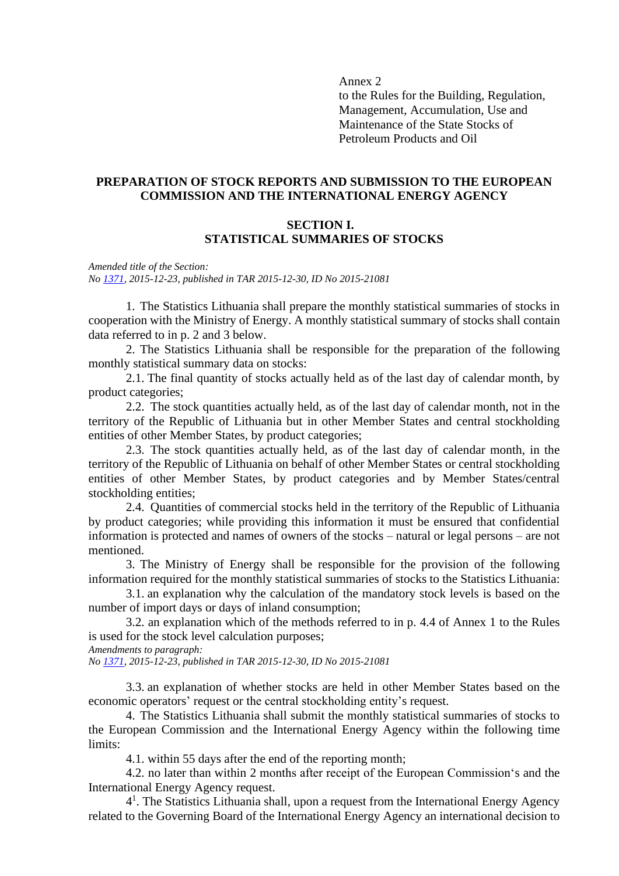Annex 2

to the Rules for the Building, Regulation, Management, Accumulation, Use and Maintenance of the State Stocks of Petroleum Products and Oil

### **PREPARATION OF STOCK REPORTS AND SUBMISSION TO THE EUROPEAN COMMISSION AND THE INTERNATIONAL ENERGY AGENCY**

### **SECTION I. STATISTICAL SUMMARIES OF STOCKS**

*Amended title of the Section: No [1371,](about:blank) 2015-12-23, published in TAR 2015-12-30, ID No 2015-21081*

1. The Statistics Lithuania shall prepare the monthly statistical summaries of stocks in cooperation with the Ministry of Energy. A monthly statistical summary of stocks shall contain data referred to in p. 2 and 3 below.

2. The Statistics Lithuania shall be responsible for the preparation of the following monthly statistical summary data on stocks:

2.1. The final quantity of stocks actually held as of the last day of calendar month, by product categories;

2.2. The stock quantities actually held, as of the last day of calendar month, not in the territory of the Republic of Lithuania but in other Member States and central stockholding entities of other Member States, by product categories;

2.3. The stock quantities actually held, as of the last day of calendar month, in the territory of the Republic of Lithuania on behalf of other Member States or central stockholding entities of other Member States, by product categories and by Member States/central stockholding entities;

2.4. Quantities of commercial stocks held in the territory of the Republic of Lithuania by product categories; while providing this information it must be ensured that confidential information is protected and names of owners of the stocks – natural or legal persons – are not mentioned.

3. The Ministry of Energy shall be responsible for the provision of the following information required for the monthly statistical summaries of stocks to the Statistics Lithuania:

3.1. an explanation why the calculation of the mandatory stock levels is based on the number of import days or days of inland consumption;

3.2. an explanation which of the methods referred to in p. 4.4 of Annex 1 to the Rules is used for the stock level calculation purposes;

*Amendments to paragraph:*

*No [1371,](about:blank) 2015-12-23, published in TAR 2015-12-30, ID No 2015-21081*

3.3. an explanation of whether stocks are held in other Member States based on the economic operators' request or the central stockholding entity's request.

4. The Statistics Lithuania shall submit the monthly statistical summaries of stocks to the European Commission and the International Energy Agency within the following time limits:

4.1. within 55 days after the end of the reporting month;

4.2. no later than within 2 months after receipt of the European Commission's and the International Energy Agency request.

4<sup>1</sup>. The Statistics Lithuania shall, upon a request from the International Energy Agency related to the Governing Board of the International Energy Agency an international decision to